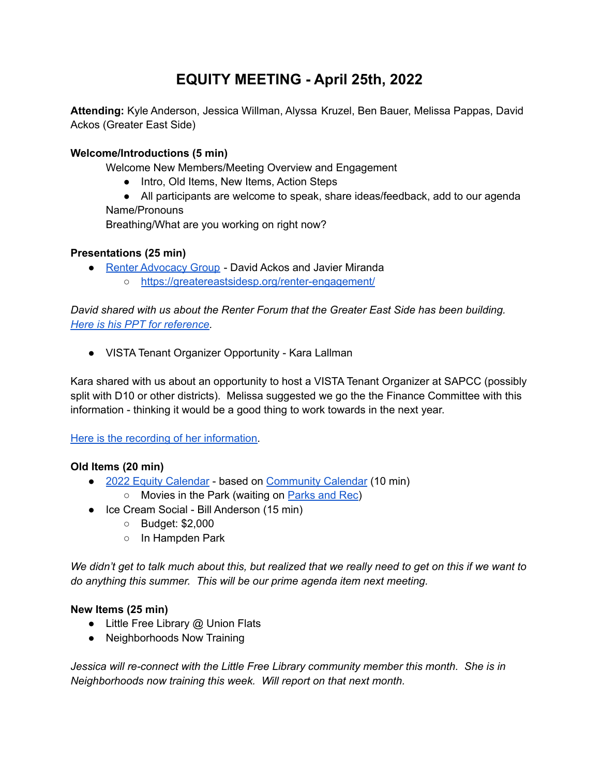# **EQUITY MEETING - April 25th, 2022**

**Attending:** Kyle Anderson, Jessica Willman, Alyssa Kruzel, Ben Bauer, Melissa Pappas, David Ackos (Greater East Side)

## **Welcome/Introductions (5 min)**

Welcome New Members/Meeting Overview and Engagement

- Intro, Old Items, New Items, Action Steps
- All participants are welcome to speak, share ideas/feedback, add to our agenda Name/Pronouns

Breathing/What are you working on right now?

#### **Presentations (25 min)**

- Renter [Advocacy](https://greatereastsidesp.org/2021/10/28/greater-east-side-renter-advisory-council/) Group David Ackos and Javier Miranda
	- <https://greatereastsidesp.org/renter-engagement/>

*David shared with us about the Renter Forum that the Greater East Side has been building. Here is his PPT for [reference.](https://docs.google.com/presentation/d/1Rp5fkXQeaguX2Zj4IzHHt4quwM3moPx2/edit?usp=sharing&ouid=116895032568207895864&rtpof=true&sd=true)*

● VISTA Tenant Organizer Opportunity - Kara Lallman

Kara shared with us about an opportunity to host a VISTA Tenant Organizer at SAPCC (possibly split with D10 or other districts). Melissa suggested we go the the Finance Committee with this information - thinking it would be a good thing to work towards in the next year.

#### Here is the recording of her [information.](https://us06web.zoom.us/rec/play/CY6JfbM1HbSWsJrorsznY6pVBbGxHp6okenkl-ua6G_Mq9EBm1Q2TDGIGvQm-Oqo1lU0lPXgJNsWoc5C.sh4seSRLg99kdF7E?startTime=1650928706000)

## **Old Items (20 min)**

- 2022 Equity [Calendar](https://calendar.google.com/calendar/ical/sapcc.org_4jij24ec7k5qs49dilp4gmrc5g%40group.calendar.google.com/public/basic.ics) based on [Community](https://docs.google.com/document/d/1eUr9qsb2LzFPljhUnyKqXYvyrNXsFIvEvdXH1eY9eKw/edit) Calendar (10 min)
	- Movies in the Park (waiting on [Parks](https://www.stpaul.gov/departments/parks-and-recreation/activities-events/summer-activities-events/movies-parks#:~:text=Movies%20in%20the%20Parks%20provides,Some%20offer%20pre%2Dshow%20activities.) and Rec)
- Ice Cream Social Bill Anderson (15 min)
	- Budget: \$2,000
	- In Hampden Park

We didn't get to talk much about this, but realized that we really need to get on this if we want to *do anything this summer. This will be our prime agenda item next meeting.*

#### **New Items (25 min)**

- Little Free Library @ Union Flats
- Neighborhoods Now Training

*Jessica will re-connect with the Little Free Library community member this month. She is in Neighborhoods now training this week. Will report on that next month.*